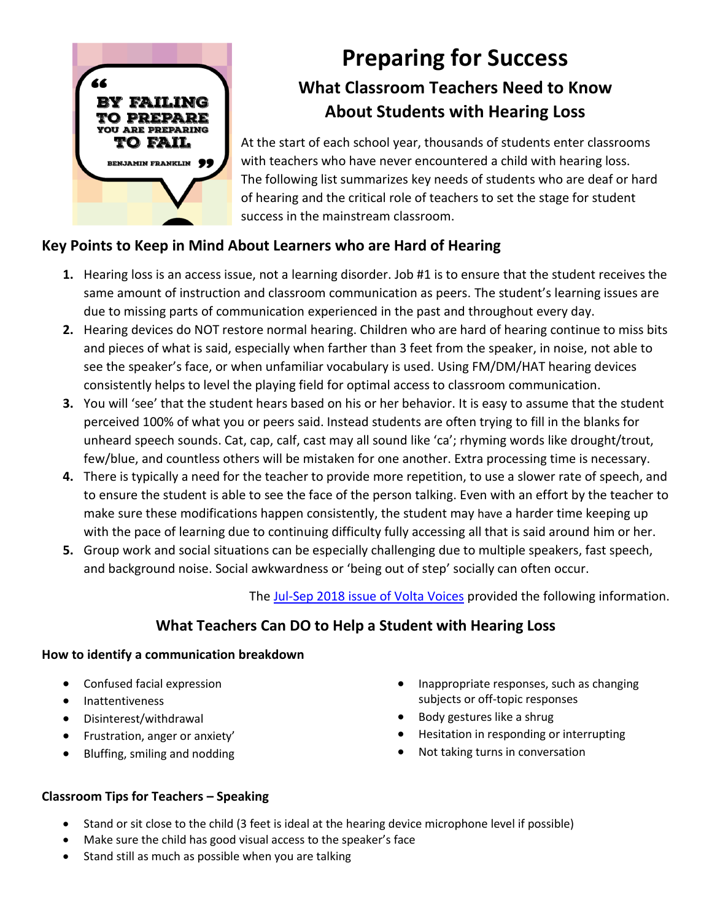

# **Preparing for Success What Classroom Teachers Need to Know About Students with Hearing Loss**

At the start of each school year, thousands of students enter classrooms with teachers who have never encountered a child with hearing loss. The following list summarizes key needs of students who are deaf or hard of hearing and the critical role of teachers to set the stage for student success in the mainstream classroom.

## **Key Points to Keep in Mind About Learners who are Hard of Hearing**

- **1.** Hearing loss is an access issue, not a learning disorder. Job #1 is to ensure that the student receives the same amount of instruction and classroom communication as peers. The student's learning issues are due to missing parts of communication experienced in the past and throughout every day.
- **2.** Hearing devices do NOT restore normal hearing. Children who are hard of hearing continue to miss bits and pieces of what is said, especially when farther than 3 feet from the speaker, in noise, not able to see the speaker's face, or when unfamiliar vocabulary is used. Using FM/DM/HAT hearing devices consistently helps to level the playing field for optimal access to classroom communication.
- **3.** You will 'see' that the student hears based on his or her behavior. It is easy to assume that the student perceived 100% of what you or peers said. Instead students are often trying to fill in the blanks for unheard speech sounds. Cat, cap, calf, cast may all sound like 'ca'; rhyming words like drought/trout, few/blue, and countless others will be mistaken for one another. Extra processing time is necessary.
- **4.** There is typically a need for the teacher to provide more repetition, to use a slower rate of speech, and to ensure the student is able to see the face of the person talking. Even with an effort by the teacher to make sure these modifications happen consistently, the student may have a harder time keeping up with the pace of learning due to continuing difficulty fully accessing all that is said around him or her.
- **5.** Group work and social situations can be especially challenging due to multiple speakers, fast speech, and background noise. Social awkwardness or 'being out of step' socially can often occur.

The [Jul-Sep 2018 issue of Volta Voices](https://www.agbell.org/Portals/26/PDFs/Volta-Voices-Jul-Sep-2018-Final.pdf.compressed.pdf?ver=2018-08-21-161818-920) provided the following information.

# **What Teachers Can DO to Help a Student with Hearing Loss**

#### **How to identify a communication breakdown**

- Confused facial expression
- Inattentiveness
- Disinterest/withdrawal
- Frustration, anger or anxiety'
- Bluffing, smiling and nodding
- Inappropriate responses, such as changing subjects or off-topic responses
- Body gestures like a shrug
- Hesitation in responding or interrupting
- Not taking turns in conversation

#### **Classroom Tips for Teachers – Speaking**

- Stand or sit close to the child (3 feet is ideal at the hearing device microphone level if possible)
- Make sure the child has good visual access to the speaker's face
- Stand still as much as possible when you are talking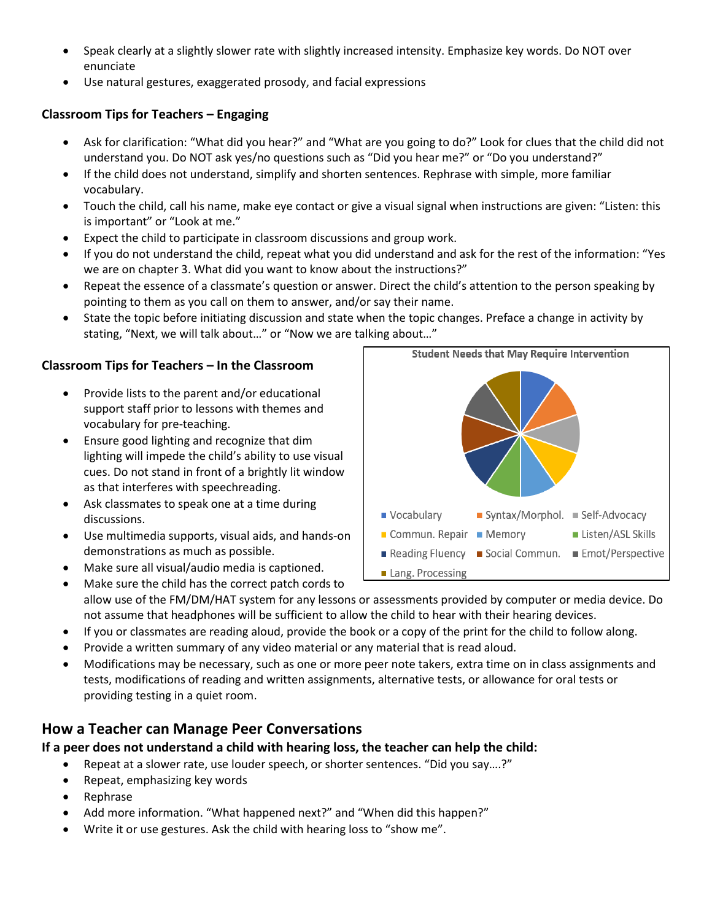- Speak clearly at a slightly slower rate with slightly increased intensity. Emphasize key words. Do NOT over enunciate
- Use natural gestures, exaggerated prosody, and facial expressions

### **Classroom Tips for Teachers – Engaging**

- Ask for clarification: "What did you hear?" and "What are you going to do?" Look for clues that the child did not understand you. Do NOT ask yes/no questions such as "Did you hear me?" or "Do you understand?"
- If the child does not understand, simplify and shorten sentences. Rephrase with simple, more familiar vocabulary.
- Touch the child, call his name, make eye contact or give a visual signal when instructions are given: "Listen: this is important" or "Look at me."
- Expect the child to participate in classroom discussions and group work.
- If you do not understand the child, repeat what you did understand and ask for the rest of the information: "Yes we are on chapter 3. What did you want to know about the instructions?"
- Repeat the essence of a classmate's question or answer. Direct the child's attention to the person speaking by pointing to them as you call on them to answer, and/or say their name.
- State the topic before initiating discussion and state when the topic changes. Preface a change in activity by stating, "Next, we will talk about…" or "Now we are talking about…"

#### **Classroom Tips for Teachers – In the Classroom**

- Provide lists to the parent and/or educational support staff prior to lessons with themes and vocabulary for pre-teaching.
- Ensure good lighting and recognize that dim lighting will impede the child's ability to use visual cues. Do not stand in front of a brightly lit window as that interferes with speechreading.
- Ask classmates to speak one at a time during discussions.
- Use multimedia supports, visual aids, and hands-on demonstrations as much as possible.
- Make sure all visual/audio media is captioned.
- Syntax/Morphol. Self-Advocacy ■ Vocabulary Commun. Repair  $\blacksquare$  Memory Listen/ASL Skills Reading Fluency Social Commun. Emot/Perspective Lang. Processing

**Student Needs that May Require Intervention** 

- Make sure the child has the correct patch cords to allow use of the FM/DM/HAT system for any lessons or assessments provided by computer or media device. Do not assume that headphones will be sufficient to allow the child to hear with their hearing devices.
- If you or classmates are reading aloud, provide the book or a copy of the print for the child to follow along.
- Provide a written summary of any video material or any material that is read aloud.
- Modifications may be necessary, such as one or more peer note takers, extra time on in class assignments and tests, modifications of reading and written assignments, alternative tests, or allowance for oral tests or providing testing in a quiet room.

## **How a Teacher can Manage Peer Conversations**

**If a peer does not understand a child with hearing loss, the teacher can help the child:**

- Repeat at a slower rate, use louder speech, or shorter sentences. "Did you say….?"
- Repeat, emphasizing key words
- Rephrase
- Add more information. "What happened next?" and "When did this happen?"
- Write it or use gestures. Ask the child with hearing loss to "show me".